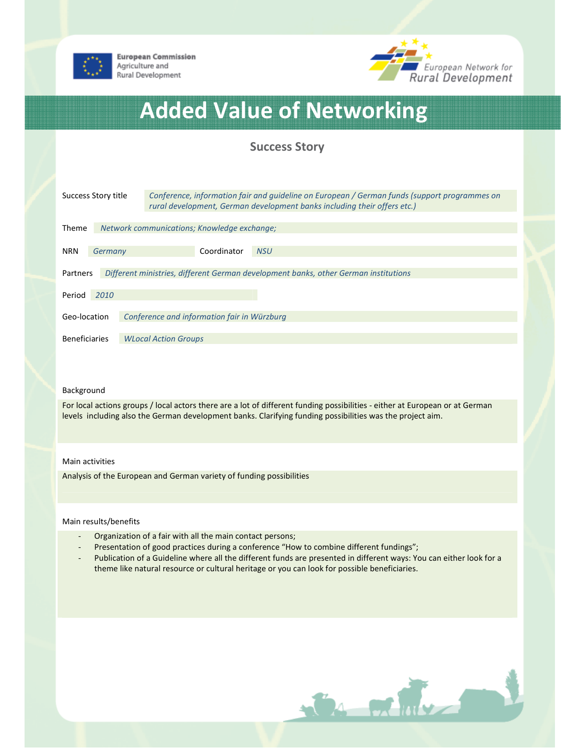

**European Commission** Agriculture and Rural Development



# Added Value of Networking

## Success Story

| Success Story title                                                                             |                                             | Conference, information fair and quideline on European / German funds (support programmes on<br>rural development, German development banks including their offers etc.) |  |
|-------------------------------------------------------------------------------------------------|---------------------------------------------|--------------------------------------------------------------------------------------------------------------------------------------------------------------------------|--|
| <b>Theme</b>                                                                                    | Network communications; Knowledge exchange; |                                                                                                                                                                          |  |
| <b>NRN</b>                                                                                      | Germany                                     | Coordinator<br><b>NSU</b>                                                                                                                                                |  |
| Different ministries, different German development banks, other German institutions<br>Partners |                                             |                                                                                                                                                                          |  |
| Period                                                                                          | 2010                                        |                                                                                                                                                                          |  |
| Geo-location                                                                                    |                                             | Conference and information fair in Würzburg                                                                                                                              |  |
| <b>Beneficiaries</b>                                                                            |                                             | <b>WLocal Action Groups</b>                                                                                                                                              |  |

#### Background

For local actions groups / local actors there are a lot of different funding possibilities - either at European or at German levels including also the German development banks. Clarifying funding possibilities was the project aim.

#### Main activities

Analysis of the European and German variety of funding possibilities

### Main results/benefits

- Organization of a fair with all the main contact persons;
- Presentation of good practices during a conference "How to combine different fundings";
- Publication of a Guideline where all the different funds are presented in different ways: You can either look for a theme like natural resource or cultural heritage or you can look for possible beneficiaries.

GA MANY